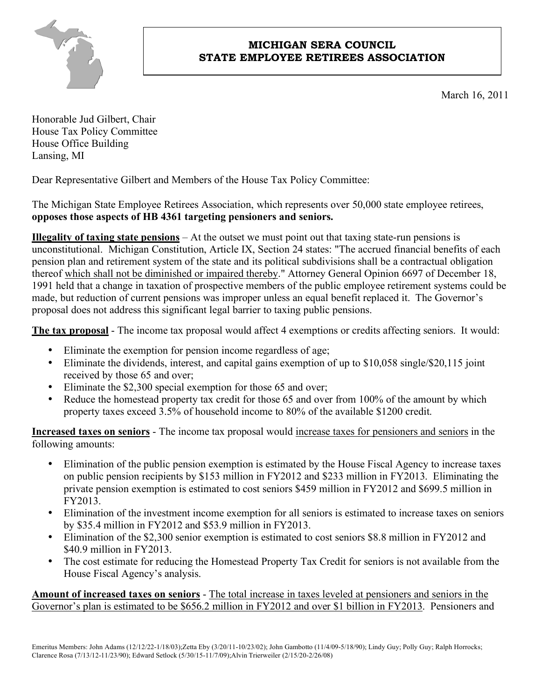

## **MICHIGAN SERA COUNCIL STATE EMPLOYEE RETIREES ASSOCIATION**

March 16, 2011

Honorable Jud Gilbert, Chair House Tax Policy Committee House Office Building Lansing, MI

Dear Representative Gilbert and Members of the House Tax Policy Committee:

The Michigan State Employee Retirees Association, which represents over 50,000 state employee retirees, **opposes those aspects of HB 4361 targeting pensioners and seniors.**

**Illegality of taxing state pensions** – At the outset we must point out that taxing state-run pensions is unconstitutional. Michigan Constitution, Article IX, Section 24 states: "The accrued financial benefits of each pension plan and retirement system of the state and its political subdivisions shall be a contractual obligation thereof which shall not be diminished or impaired thereby." Attorney General Opinion 6697 of December 18, 1991 held that a change in taxation of prospective members of the public employee retirement systems could be made, but reduction of current pensions was improper unless an equal benefit replaced it. The Governor's proposal does not address this significant legal barrier to taxing public pensions.

**The tax proposal** - The income tax proposal would affect 4 exemptions or credits affecting seniors. It would:

- Eliminate the exemption for pension income regardless of age;
- Eliminate the dividends, interest, and capital gains exemption of up to \$10,058 single/\$20,115 joint received by those 65 and over;
- Eliminate the \$2,300 special exemption for those 65 and over;
- Reduce the homestead property tax credit for those 65 and over from 100% of the amount by which property taxes exceed 3.5% of household income to 80% of the available \$1200 credit.

**Increased taxes on seniors** - The income tax proposal would increase taxes for pensioners and seniors in the following amounts:

- Elimination of the public pension exemption is estimated by the House Fiscal Agency to increase taxes on public pension recipients by \$153 million in FY2012 and \$233 million in FY2013. Eliminating the private pension exemption is estimated to cost seniors \$459 million in FY2012 and \$699.5 million in FY2013.
- Elimination of the investment income exemption for all seniors is estimated to increase taxes on seniors by \$35.4 million in FY2012 and \$53.9 million in FY2013.
- Elimination of the \$2,300 senior exemption is estimated to cost seniors \$8.8 million in FY2012 and \$40.9 million in FY2013.
- The cost estimate for reducing the Homestead Property Tax Credit for seniors is not available from the House Fiscal Agency's analysis.

**Amount of increased taxes on seniors** - The total increase in taxes leveled at pensioners and seniors in the Governor's plan is estimated to be \$656.2 million in FY2012 and over \$1 billion in FY2013. Pensioners and